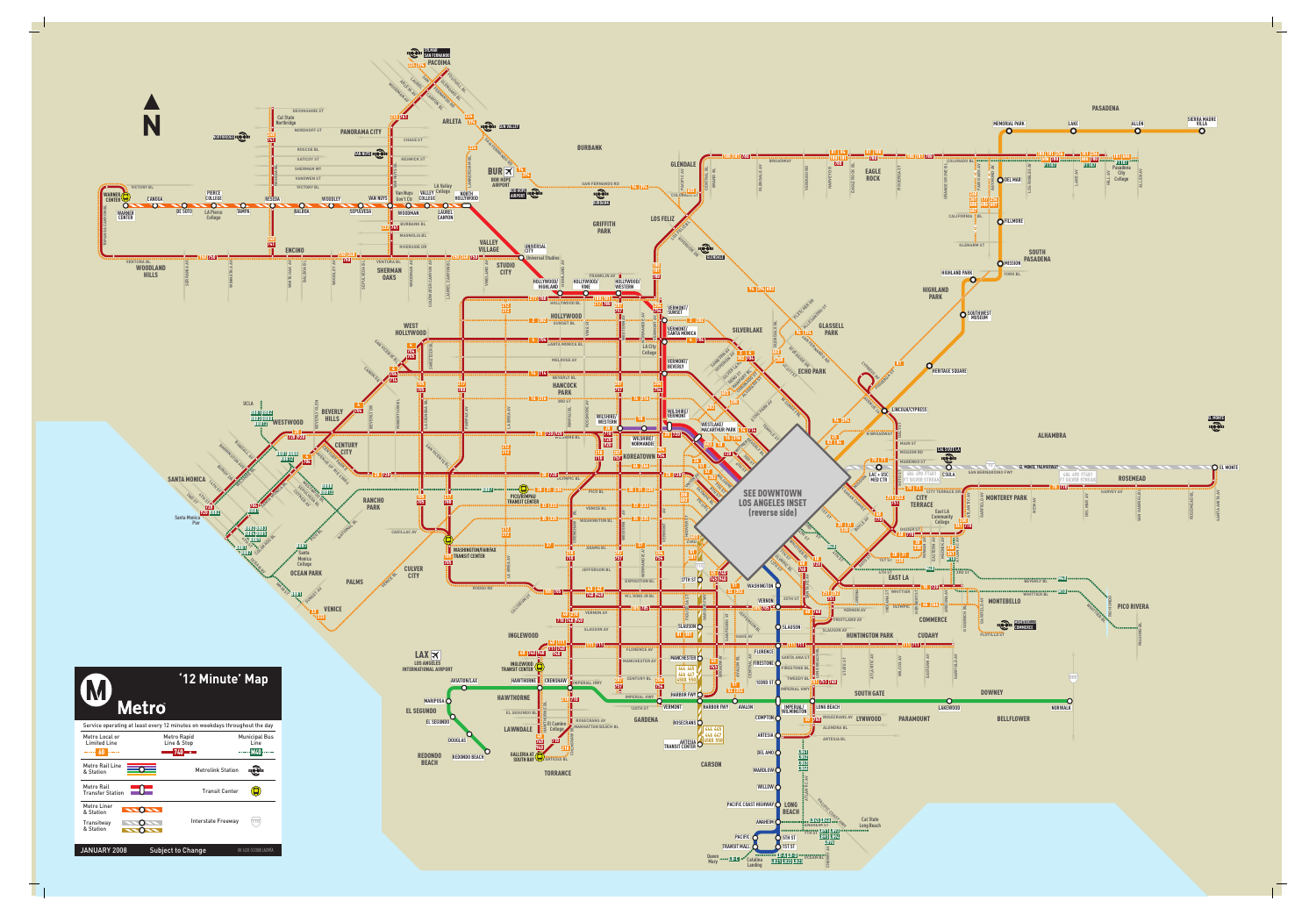